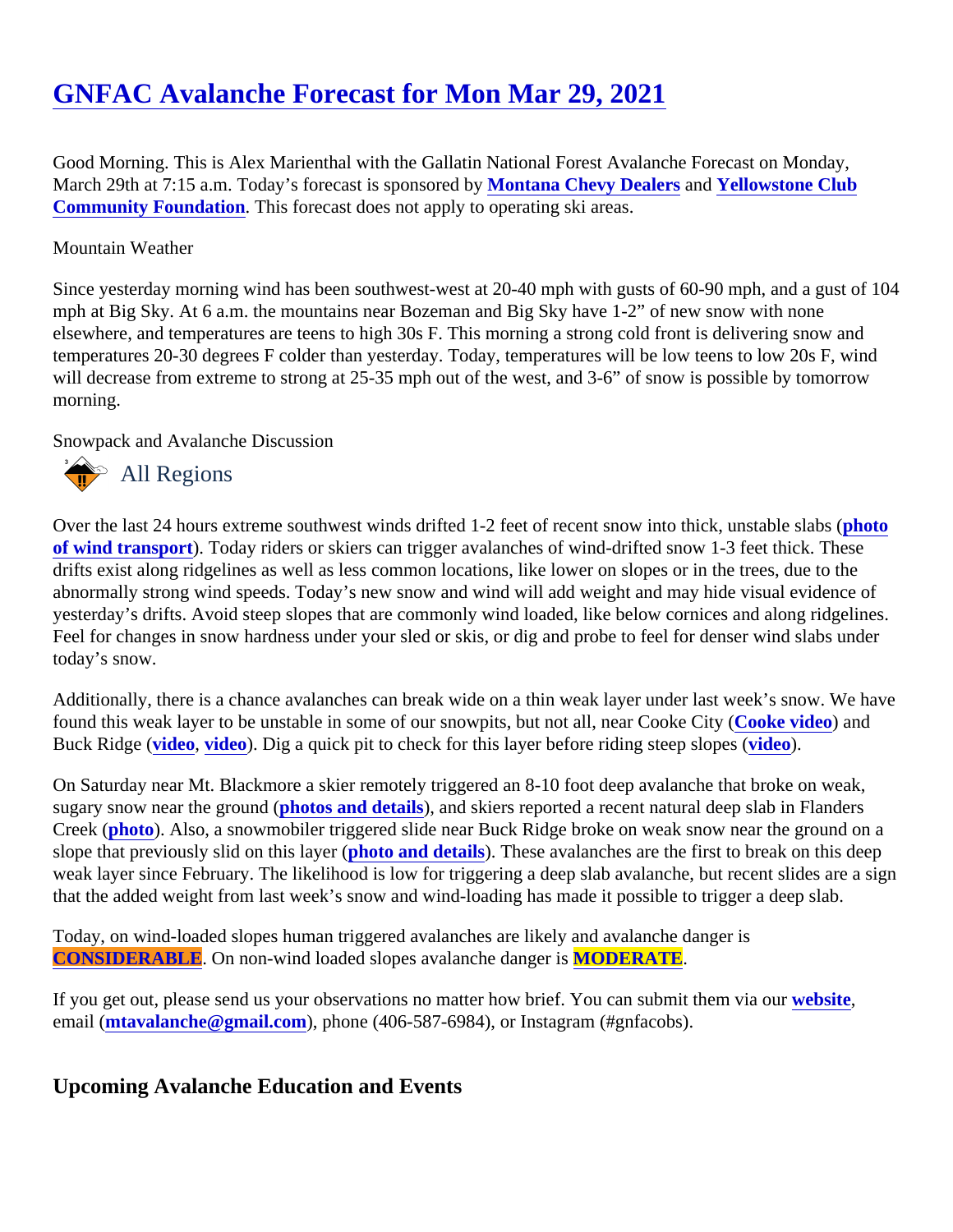## [GNFAC Avalanche Forecast for Mon Mar 29, 202](https://www.mtavalanche.com/forecast/21/03/29)1

Good Morning. This is Alex Marienthal with the Gallatin National Forest Avalanche Forecast on Monday, March 29th at 7:15 a.m. Today's forecast is sponsored doytana Chevy Dealers and [Yellowstone Club](http://yellowstoneclubfoundation.org/) [Community Foundation.](http://yellowstoneclubfoundation.org/) This forecast does not apply to operating ski areas.

## Mountain Weather

Since yesterday morning wind has been southwest-west at 20-40 mph with gusts of 60-90 mph, and a gust of mph at Big Sky. At 6 a.m. the mountains near Bozeman and Big Sky have 1-2" of new snow with none elsewhere, and temperatures are teens to high 30s F. This morning a strong cold front is delivering snow and temperatures 20-30 degrees F colder than yesterday. Today, temperatures will be low teens to low 20s F, wind will decrease from extreme to strong at 25-35 mph out of the west, and 3-6" of snow is possible by tomorrow morning.

## Snowpack and Avalanche Discussion

## All Regions

Over the last 24 hours extreme southwest winds drifted 1-2 feet of recent snow into thick, unstable stabs ( [of wind transport](https://www.mtavalanche.com/images/21/snow-transport-lone-mountain)). Today riders or skiers can trigger avalanches of wind-drifted snow 1-3 feet thick. These drifts exist along ridgelines as well as less common locations, like lower on slopes or in the trees, due to the abnormally strong wind speeds. Today's new snow and wind will add weight and may hide visual evidence of yesterday's drifts. Avoid steep slopes that are commonly wind loaded, like below cornices and along ridgeline Feel for changes in snow hardness under your sled or skis, or dig and probe to feel for denser wind slabs und today's snow.

Additionally, there is a chance avalanches can break wide on a thin weak layer under last week's snow. We have found this weak layer to be unstable in some of our snowpits, but not all, near Cooke Coke (vided) and Buck Ridge [\(video](https://www.youtube.com/watch?v=JZ1rnPsoIIg&list=PLXu5151nmAvQDzKmH5K3ZS8Gg3DzwsZ3O), [video\)](https://www.youtube.com/watch?v=zCKlHstJTqc&list=PLXu5151nmAvQDzKmH5K3ZS8Gg3DzwsZ3O&index=7). Dig a quick pit to check for this layer before riding steep slopids (a.

On Saturday near Mt. Blackmore a skier remotely triggered an 8-10 foot deep avalanche that broke on weak, sugary snow near the ground otos and details, and skiers reported a recent natural deep slab in Flanders Creek [\(photo](https://www.mtavalanche.com/images/21/natural-deep-slab-near-flanders)). Also, a snowmobiler triggered slide near Buck Ridge broke on weak snow near the ground on a slope that previously slid on this layerhoto and details. These avalanches are the first to break on this deep weak layer since February. The likelihood is low for triggering a deep slab avalanche, but recent slides are a that the added weight from last week's snow and wind-loading has made it possible to trigger a deep slab.

Today, on wind-loaded slopes human triggered avalanches are likely and avalanche danger is [CONSIDERABLE](https://www.mtavalanche.com/images/DangerScale-small.jpg). On non-wind loaded slopes avalanche dancMODERATE.

If you get out, please send us your observations no matter how brief. You can submit them velasing email [\(mtavalanche@gmail.com](mailto:mtavalanche@gmail.com)), phone (406-587-6984), or Instagram (#gnfacobs).

Upcoming Avalanche Education and Events